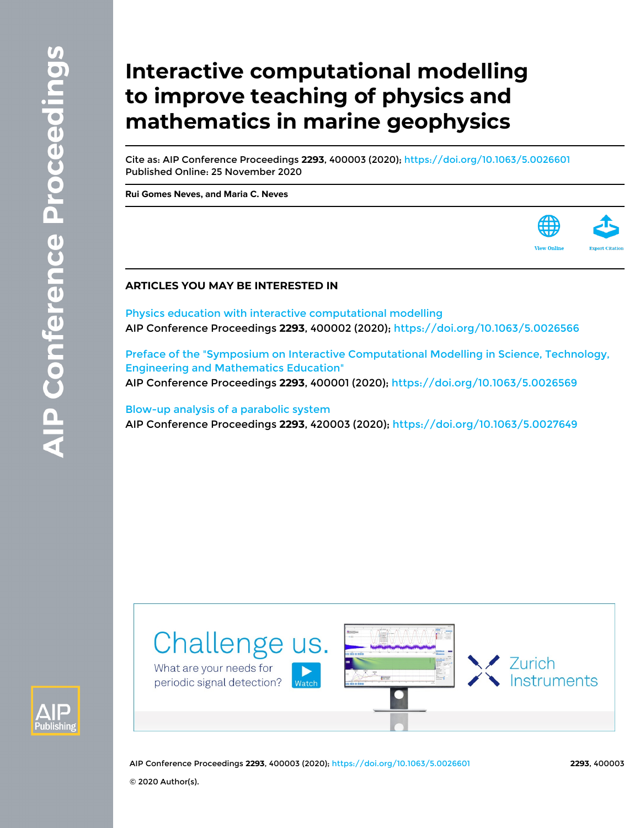# **Interactive computational modelling to improve teaching of physics and mathematics in marine geophysics**

Cite as: AIP Conference Proceedings **2293**, 400003 (2020); <https://doi.org/10.1063/5.0026601> Published Online: 25 November 2020

**[Rui Gomes Neves,](https://aip.scitation.org/author/Neves%2C+Rui+Gomes) and [Maria C. Neves](https://aip.scitation.org/author/Neves%2C+Maria+C)**



### **ARTICLES YOU MAY BE INTERESTED IN**

[Physics education with interactive computational modelling](https://aip.scitation.org/doi/10.1063/5.0026566) AIP Conference Proceedings **2293**, 400002 (2020); <https://doi.org/10.1063/5.0026566>

[Preface of the "Symposium on Interactive Computational Modelling in Science, Technology,](https://aip.scitation.org/doi/10.1063/5.0026569) [Engineering and Mathematics Education"](https://aip.scitation.org/doi/10.1063/5.0026569) AIP Conference Proceedings **2293**, 400001 (2020); <https://doi.org/10.1063/5.0026569>

[Blow-up analysis of a parabolic system](https://aip.scitation.org/doi/10.1063/5.0027649) AIP Conference Proceedings **2293**, 420003 (2020); <https://doi.org/10.1063/5.0027649>





AIP Conference Proceedings **2293**, 400003 (2020); <https://doi.org/10.1063/5.0026601> **2293**, 400003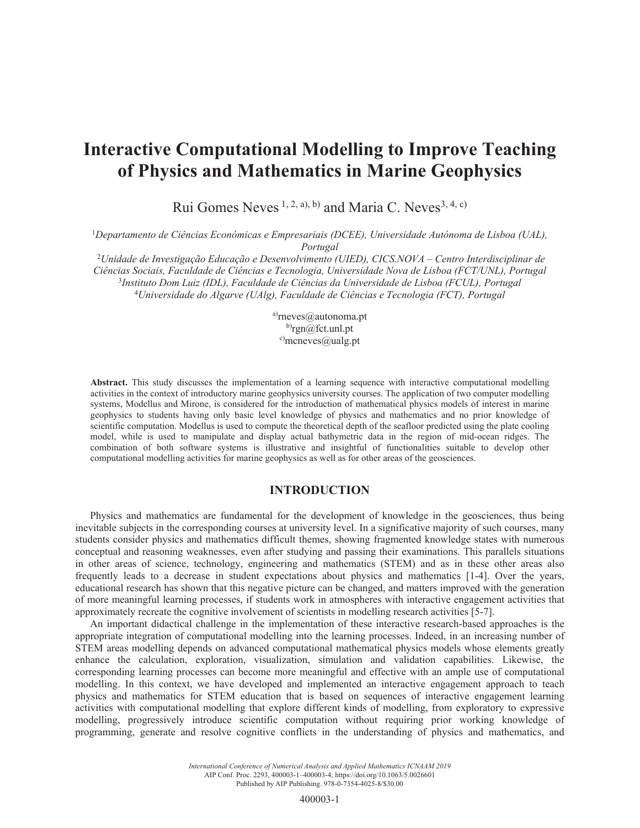# **Interactive Computational Modelling to Improve Teaching** of Physics and Mathematics in Marine Geophysics

Rui Gomes Neves<sup>1, 2, a), b)</sup> and Maria C. Neves<sup>3, 4, c)</sup>

*Departamento de Ciências Económicas e Empresariais (DCEE), Universidade Autónoma de Lisboa (UAL), Portugal*

*Unidade de Investigação Educação e Desenvolvimento (UIED), CICS.NOVA – Centro Interdisciplinar de Ciências Sociais, Faculdade de Ciências e Tecnologia, Universidade Nova de Lisboa (FCT/UNL), Portugal Instituto Dom Luiz (IDL), Faculdade de Ciências da Universidade de Lisboa (FCUL), Portugal Universidade do Algarve (UAlg), Faculdade de Ciências e Tecnologia (FCT), Portugal*

> a) $r$ neves $@$ autonoma.pt  $^{b)}$ rgn@fct.unl.pt  $c$ <sup>c</sup>)mcneves@ualg.pt

Abstract. This study discusses the implementation of a learning sequence with interactive computational modelling activities in the context of introductory marine geophysics university courses. The application of two computer modelling systems, Modellus and Mirone, is considered for the introduction of mathematical physics models of interest in marine geophysics to students having only basic level knowledge of physics and mathematics and no prior knowledge of scientific computation. Modellus is used to compute the theoretical depth of the seafloor predicted using the plate cooling model, while is used to manipulate and display actual bathymetric data in the region of mid-ocean ridges. The combination of both software systems is illustrative and insightful of functionalities suitable to develop other computational modelling activities for marine geophysics as well as for other areas of the geosciences.

#### **INTRODUCTION**

Physics and mathematics are fundamental for the development of knowledge in the geosciences, thus being inevitable subjects in the corresponding courses at university level. In a significative majority of such courses, many students consider physics and mathematics difficult themes, showing fragmented knowledge states with numerous conceptual and reasoning weaknesses, even after studying and passing their examinations. This parallels situations in other areas of science, technology, engineering and mathematics (STEM) and as in these other areas also frequently leads to a decrease in student expectations about physics and mathematics [1-4]. Over the years, educational research has shown that this negative picture can be changed, and matters improved with the generation of more meaningful learning processes, if students work in atmospheres with interactive engagement activities that approximately recreate the cognitive involvement of scientists in modelling research activities [5-7].

An important didactical challenge in the implementation of these interactive research-based approaches is the appropriate integration of computational modelling into the learning processes. Indeed, in an increasing number of STEM areas modelling depends on advanced computational mathematical physics models whose elements greatly enhance the calculation, exploration, visualization, simulation and validation capabilities. Likewise, the corresponding learning processes can become more meaningful and effective with an ample use of computational modelling. In this context, we have developed and implemented an interactive engagement approach to teach physics and mathematics for STEM education that is based on sequences of interactive engagement learning activities with computational modelling that explore different kinds of modelling, from exploratory to expressive modelling, progressively introduce scientific computation without requiring prior working knowledge of programming, generate and resolve cognitive conflicts in the understanding of physics and mathematics, and

> *International Conference of Numerical Analysis and Applied Mathematics ICNAAM 2019* AIP Conf. Proc. 2293, 400003-1–400003-4; https://doi.org/10.1063/5.0026601 Published by AIP Publishing. 978-0-7354-4025-8/\$30.00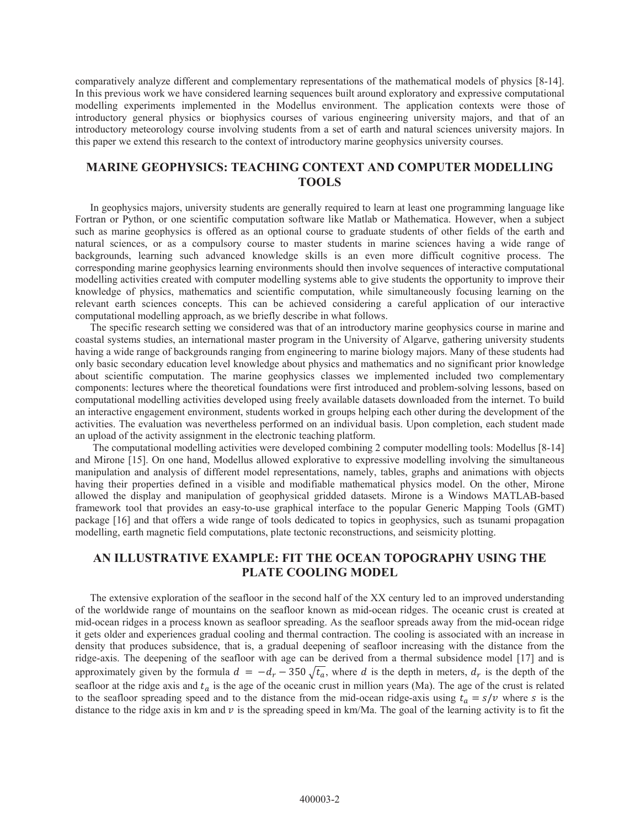comparatively analyze different and complementary representations of the mathematical models of physics [8-14]. In this previous work we have considered learning sequences built around exploratory and expressive computational modelling experiments implemented in the Modellus environment. The application contexts were those of introductory general physics or biophysics courses of various engineering university majors, and that of an introductory meteorology course involving students from a set of earth and natural sciences university majors. In this paper we extend this research to the context of introductory marine geophysics university courses.

## **MARINE GEOPHYSICS: TEACHING CONTEXT AND COMPUTER MODELLING TOOLS**

In geophysics majors, university students are generally required to learn at least one programming language like Fortran or Python, or one scientific computation software like Matlab or Mathematica. However, when a subject such as marine geophysics is offered as an optional course to graduate students of other fields of the earth and natural sciences, or as a compulsory course to master students in marine sciences having a wide range of backgrounds, learning such advanced knowledge skills is an even more difficult cognitive process. The corresponding marine geophysics learning environments should then involve sequences of interactive computational modelling activities created with computer modelling systems able to give students the opportunity to improve their knowledge of physics, mathematics and scientific computation, while simultaneously focusing learning on the relevant earth sciences concepts. This can be achieved considering a careful application of our interactive computational modelling approach, as we briefly describe in what follows.

The specific research setting we considered was that of an introductory marine geophysics course in marine and coastal systems studies, an international master program in the University of Algarve, gathering university students having a wide range of backgrounds ranging from engineering to marine biology majors. Many of these students had only basic secondary education level knowledge about physics and mathematics and no significant prior knowledge about scientific computation. The marine geophysics classes we implemented included two complementary components: lectures where the theoretical foundations were first introduced and problem-solving lessons, based on computational modelling activities developed using freely available datasets downloaded from the internet. To build an interactive engagement environment, students worked in groups helping each other during the development of the activities. The evaluation was nevertheless performed on an individual basis. Upon completion, each student made an upload of the activity assignment in the electronic teaching platform.

The computational modelling activities were developed combining 2 computer modelling tools: Modellus [8-14] and Mirone [15]. On one hand, Modellus allowed explorative to expressive modelling involving the simultaneous manipulation and analysis of different model representations, namely, tables, graphs and animations with objects having their properties defined in a visible and modifiable mathematical physics model. On the other, Mirone allowed the display and manipulation of geophysical gridded datasets. Mirone is a Windows MATLAB-based framework tool that provides an easy-to-use graphical interface to the popular Generic Mapping Tools (GMT) package [16] and that offers a wide range of tools dedicated to topics in geophysics, such as tsunami propagation modelling, earth magnetic field computations, plate tectonic reconstructions, and seismicity plotting.

# AN ILLUSTRATIVE EXAMPLE: FIT THE OCEAN TOPOGRAPHY USING THE **PLATE COOLING MODEL**

The extensive exploration of the seafloor in the second half of the XX century led to an improved understanding of the worldwide range of mountains on the seafloor known as mid-ocean ridges. The oceanic crust is created at mid-ocean ridges in a process known as seafloor spreading. As the seafloor spreads away from the mid-ocean ridge it gets older and experiences gradual cooling and thermal contraction. The cooling is associated with an increase in density that produces subsidence, that is, a gradual deepening of seafloor increasing with the distance from the ridge-axis. The deepening of the seafloor with age can be derived from a thermal subsidence model [17] and is approximately given by the formula  $d = -d_r - 350 \sqrt{t_a}$ , where d is the depth in meters,  $d_r$  is the depth of the seafloor at the ridge axis and  $t_a$  is the age of the oceanic crust in million years (Ma). The age of the crust is related to the seafloor spreading speed and to the distance from the mid-ocean ridge-axis using  $t_a = s/v$  where s is the distance to the ridge axis in km and  $\nu$  is the spreading speed in km/Ma. The goal of the learning activity is to fit the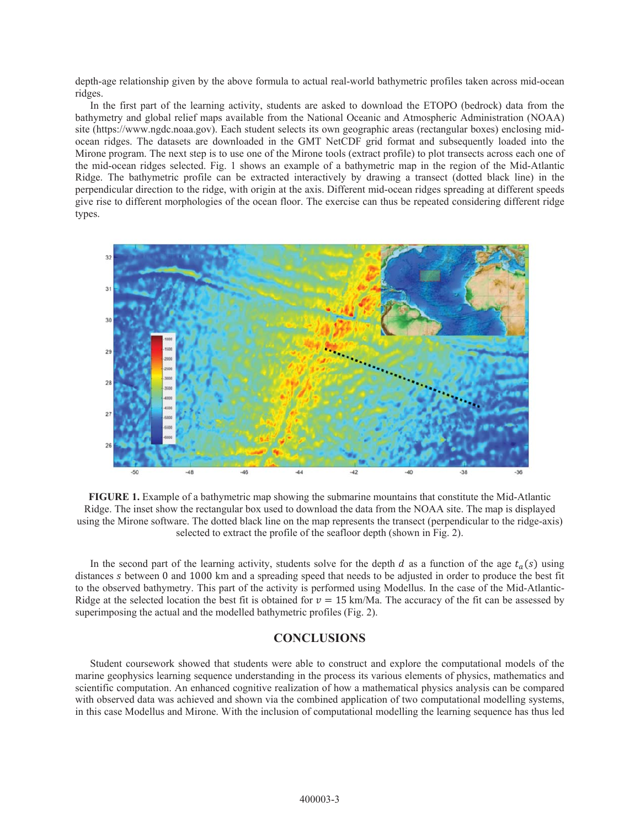depth-age relationship given by the above formula to actual real-world bathymetric profiles taken across mid-ocean ridges.

In the first part of the learning activity, students are asked to download the ETOPO (bedrock) data from the bathymetry and global relief maps available from the National Oceanic and Atmospheric Administration (NOAA) site (https://www.ngdc.noaa.gov). Each student selects its own geographic areas (rectangular boxes) enclosing midocean ridges. The datasets are downloaded in the GMT NetCDF grid format and subsequently loaded into the Mirone program. The next step is to use one of the Mirone tools (extract profile) to plot transects across each one of the mid-ocean ridges selected. Fig. 1 shows an example of a bathymetric map in the region of the Mid-Atlantic Ridge. The bathymetric profile can be extracted interactively by drawing a transect (dotted black line) in the perpendicular direction to the ridge, with origin at the axis. Different mid-ocean ridges spreading at different speeds give rise to different morphologies of the ocean floor. The exercise can thus be repeated considering different ridge types.



**FIGURE 1.** Example of a bathymetric map showing the submarine mountains that constitute the Mid-Atlantic Ridge. The inset show the rectangular box used to download the data from the NOAA site. The map is displayed using the Mirone software. The dotted black line on the map represents the transect (perpendicular to the ridge-axis) selected to extract the profile of the seafloor depth (shown in Fig. 2).

In the second part of the learning activity, students solve for the depth d as a function of the age  $t_a(s)$  using distances s between 0 and 1000 km and a spreading speed that needs to be adjusted in order to produce the best fit to the observed bathymetry. This part of the activity is performed using Modellus. In the case of the Mid-Atlantic-Ridge at the selected location the best fit is obtained for  $v = 15$  km/Ma. The accuracy of the fit can be assessed by superimposing the actual and the modelled bathymetric profiles (Fig. 2).

### **CONCLUSIONS**

Student coursework showed that students were able to construct and explore the computational models of the marine geophysics learning sequence understanding in the process its various elements of physics, mathematics and scientific computation. An enhanced cognitive realization of how a mathematical physics analysis can be compared with observed data was achieved and shown via the combined application of two computational modelling systems, in this case Modellus and Mirone. With the inclusion of computational modelling the learning sequence has thus led